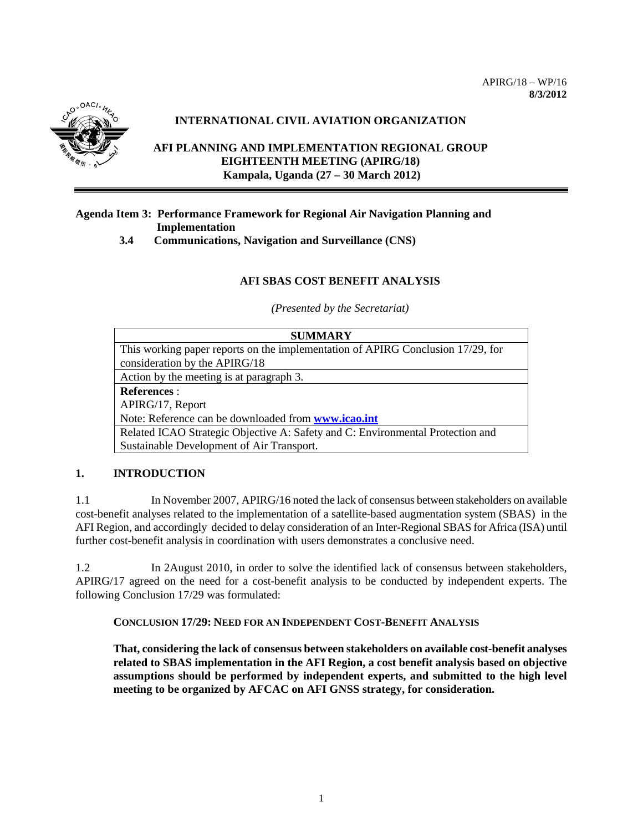

# **INTERNATIONAL CIVIL AVIATION ORGANIZATION**

# **AFI PLANNING AND IMPLEMENTATION REGIONAL GROUP EIGHTEENTH MEETING (APIRG/18) Kampala, Uganda (27 – 30 March 2012)**

# **Agenda Item 3: Performance Framework for Regional Air Navigation Planning and Implementation**

 **3.4 Communications, Navigation and Surveillance (CNS)**

# **AFI SBAS COST BENEFIT ANALYSIS**

*(Presented by the Secretariat)*

| <b>SUMMARY</b>                                                                  |
|---------------------------------------------------------------------------------|
| This working paper reports on the implementation of APIRG Conclusion 17/29, for |
| consideration by the APIRG/18                                                   |
| Action by the meeting is at paragraph 3.                                        |
| <b>References:</b>                                                              |
| APIRG/17, Report                                                                |
| Note: Reference can be downloaded from www.icao.int                             |
| Related ICAO Strategic Objective A: Safety and C: Environmental Protection and  |
| Sustainable Development of Air Transport.                                       |

# **1. INTRODUCTION**

1.1 In November 2007, APIRG/16 noted the lack of consensus between stakeholders on available cost-benefit analyses related to the implementation of a satellite-based augmentation system (SBAS) in the AFI Region, and accordingly decided to delay consideration of an Inter-Regional SBAS for Africa (ISA) until further cost-benefit analysis in coordination with users demonstrates a conclusive need.

1.2 In 2August 2010, in order to solve the identified lack of consensus between stakeholders, APIRG/17 agreed on the need for a cost-benefit analysis to be conducted by independent experts. The following Conclusion 17/29 was formulated:

**CONCLUSION 17/29: NEED FOR AN INDEPENDENT COST-BENEFIT ANALYSIS**

**That, considering the lack of consensus between stakeholders on available cost-benefit analyses related to SBAS implementation in the AFI Region, a cost benefit analysis based on objective assumptions should be performed by independent experts, and submitted to the high level meeting to be organized by AFCAC on AFI GNSS strategy, for consideration.**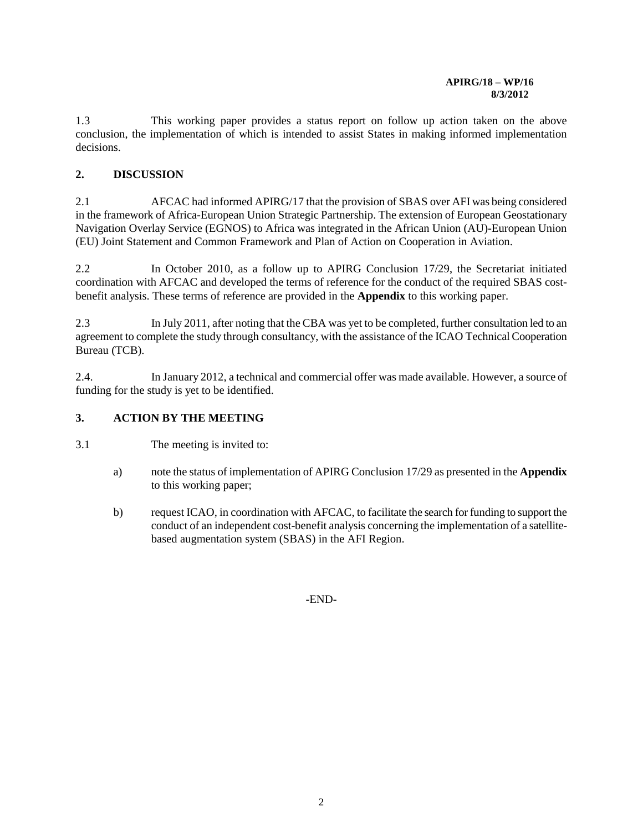#### **APIRG/18 – WP/16 8/3/2012**

1.3 This working paper provides a status report on follow up action taken on the above conclusion, the implementation of which is intended to assist States in making informed implementation decisions.

# **2. DISCUSSION**

2.1 AFCAC had informed APIRG/17 that the provision of SBAS over AFI was being considered in the framework of Africa-European Union Strategic Partnership. The extension of European Geostationary Navigation Overlay Service (EGNOS) to Africa was integrated in the African Union (AU)-European Union (EU) Joint Statement and Common Framework and Plan of Action on Cooperation in Aviation.

2.2 In October 2010, as a follow up to APIRG Conclusion 17/29, the Secretariat initiated coordination with AFCAC and developed the terms of reference for the conduct of the required SBAS costbenefit analysis. These terms of reference are provided in the **Appendix** to this working paper.

2.3 In July 2011, after noting that the CBA was yet to be completed, further consultation led to an agreement to complete the study through consultancy, with the assistance of the ICAO Technical Cooperation Bureau (TCB).

2.4. In January 2012, a technical and commercial offer was made available. However, a source of funding for the study is yet to be identified.

# **3. ACTION BY THE MEETING**

- 3.1 The meeting is invited to:
	- a) note the status of implementation of APIRG Conclusion 17/29 as presented in the **Appendix** to this working paper;
	- b) request ICAO, in coordination with AFCAC, to facilitate the search for funding to support the conduct of an independent cost-benefit analysis concerning the implementation of a satellitebased augmentation system (SBAS) in the AFI Region.

-END-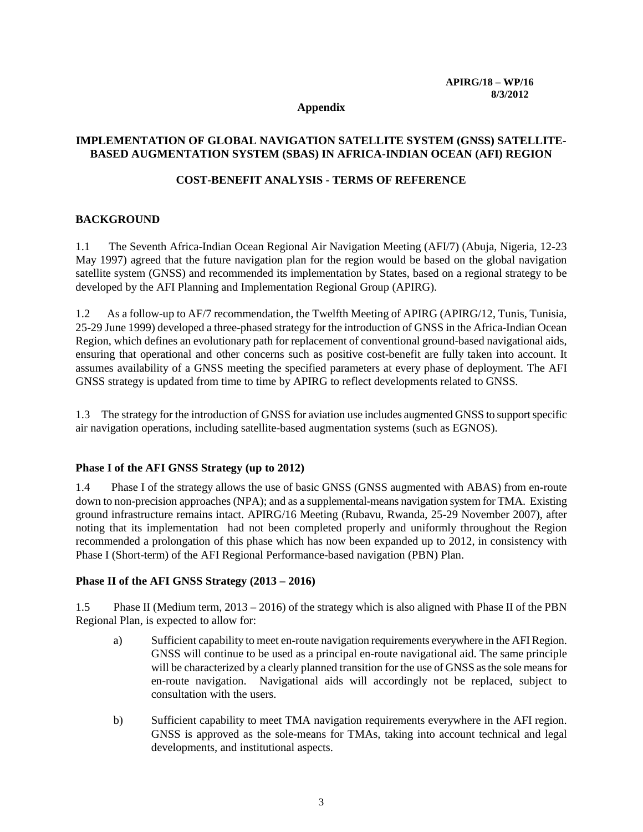#### **Appendix**

### **IMPLEMENTATION OF GLOBAL NAVIGATION SATELLITE SYSTEM (GNSS) SATELLITE-BASED AUGMENTATION SYSTEM (SBAS) IN AFRICA-INDIAN OCEAN (AFI) REGION**

### **COST-BENEFIT ANALYSIS - TERMS OF REFERENCE**

## **BACKGROUND**

1.1 The Seventh Africa-Indian Ocean Regional Air Navigation Meeting (AFI/7) (Abuja, Nigeria, 12-23 May 1997) agreed that the future navigation plan for the region would be based on the global navigation satellite system (GNSS) and recommended its implementation by States, based on a regional strategy to be developed by the AFI Planning and Implementation Regional Group (APIRG).

1.2 As a follow-up to AF/7 recommendation, the Twelfth Meeting of APIRG (APIRG/12, Tunis, Tunisia, 25-29 June 1999) developed a three-phased strategy for the introduction of GNSS in the Africa-Indian Ocean Region, which defines an evolutionary path for replacement of conventional ground-based navigational aids, ensuring that operational and other concerns such as positive cost-benefit are fully taken into account. It assumes availability of a GNSS meeting the specified parameters at every phase of deployment. The AFI GNSS strategy is updated from time to time by APIRG to reflect developments related to GNSS*.*

1.3 The strategy for the introduction of GNSS for aviation use includes augmented GNSS to support specific air navigation operations, including satellite-based augmentation systems (such as EGNOS).

### **Phase I of the AFI GNSS Strategy (up to 2012)**

1.4 Phase I of the strategy allows the use of basic GNSS (GNSS augmented with ABAS) from en-route down to non-precision approaches (NPA); and as a supplemental-means navigation system for TMA. Existing ground infrastructure remains intact. APIRG/16 Meeting (Rubavu, Rwanda, 25-29 November 2007), after noting that its implementation had not been completed properly and uniformly throughout the Region recommended a prolongation of this phase which has now been expanded up to 2012, in consistency with Phase I (Short-term) of the AFI Regional Performance-based navigation (PBN) Plan.

### **Phase II of the AFI GNSS Strategy (2013 – 2016)**

1.5 Phase II (Medium term, 2013 – 2016) of the strategy which is also aligned with Phase II of the PBN Regional Plan, is expected to allow for:

- a) Sufficient capability to meet en-route navigation requirements everywhere in the AFI Region. GNSS will continue to be used as a principal en-route navigational aid. The same principle will be characterized by a clearly planned transition for the use of GNSS as the sole means for en-route navigation. Navigational aids will accordingly not be replaced, subject to consultation with the users.
- b) Sufficient capability to meet TMA navigation requirements everywhere in the AFI region. GNSS is approved as the sole-means for TMAs, taking into account technical and legal developments, and institutional aspects.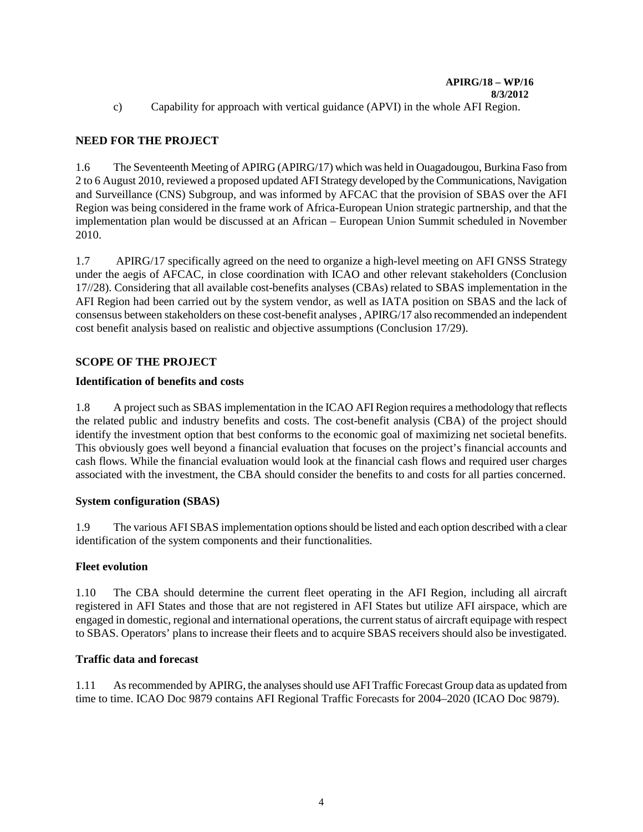c) Capability for approach with vertical guidance (APVI) in the whole AFI Region.

# **NEED FOR THE PROJECT**

1.6 The Seventeenth Meeting of APIRG (APIRG/17) which was held in Ouagadougou, Burkina Faso from 2 to 6 August 2010, reviewed a proposed updated AFI Strategy developed by the Communications, Navigation and Surveillance (CNS) Subgroup, and was informed by AFCAC that the provision of SBAS over the AFI Region was being considered in the frame work of Africa-European Union strategic partnership, and that the implementation plan would be discussed at an African – European Union Summit scheduled in November 2010.

1.7 APIRG/17 specifically agreed on the need to organize a high-level meeting on AFI GNSS Strategy under the aegis of AFCAC, in close coordination with ICAO and other relevant stakeholders (Conclusion 17//28). Considering that all available cost-benefits analyses (CBAs) related to SBAS implementation in the AFI Region had been carried out by the system vendor, as well as IATA position on SBAS and the lack of consensus between stakeholders on these cost-benefit analyses , APIRG/17 also recommended an independent cost benefit analysis based on realistic and objective assumptions (Conclusion 17/29).

# **SCOPE OF THE PROJECT**

## **Identification of benefits and costs**

1.8 A project such as SBAS implementation in the ICAO AFI Region requires a methodology that reflects the related public and industry benefits and costs. The cost-benefit analysis (CBA) of the project should identify the investment option that best conforms to the economic goal of maximizing net societal benefits. This obviously goes well beyond a financial evaluation that focuses on the project's financial accounts and cash flows. While the financial evaluation would look at the financial cash flows and required user charges associated with the investment, the CBA should consider the benefits to and costs for all parties concerned.

# **System configuration (SBAS)**

1.9 The various AFI SBAS implementation options should be listed and each option described with a clear identification of the system components and their functionalities.

### **Fleet evolution**

1.10 The CBA should determine the current fleet operating in the AFI Region, including all aircraft registered in AFI States and those that are not registered in AFI States but utilize AFI airspace, which are engaged in domestic, regional and international operations, the current status of aircraft equipage with respect to SBAS. Operators' plans to increase their fleets and to acquire SBAS receivers should also be investigated.

### **Traffic data and forecast**

1.11 As recommended by APIRG, the analyses should use AFI Traffic Forecast Group data as updated from time to time. ICAO Doc 9879 contains AFI Regional Traffic Forecasts for 2004–2020 (ICAO Doc 9879).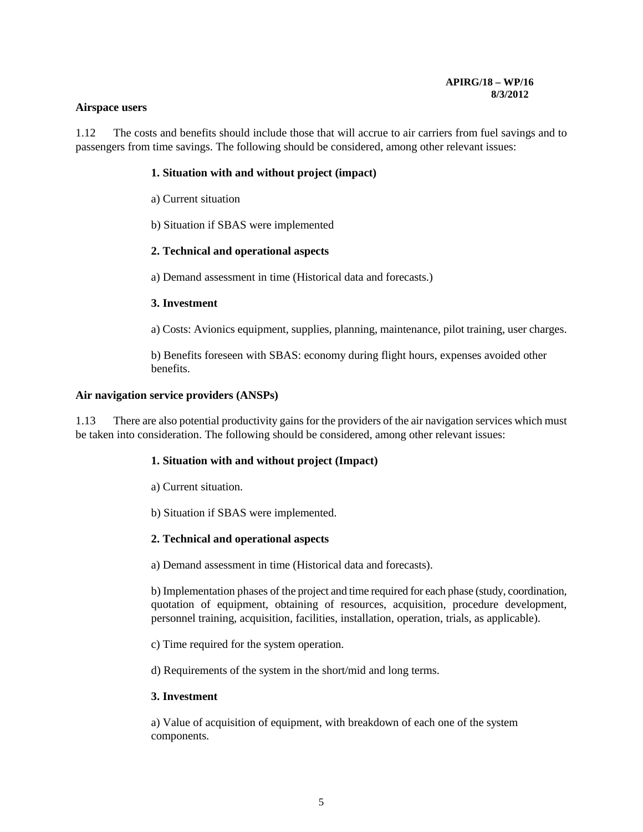#### **Airspace users**

1.12 The costs and benefits should include those that will accrue to air carriers from fuel savings and to passengers from time savings. The following should be considered, among other relevant issues:

### **1. Situation with and without project (impact)**

- a) Current situation
- b) Situation if SBAS were implemented

#### **2. Technical and operational aspects**

a) Demand assessment in time (Historical data and forecasts.)

#### **3. Investment**

a) Costs: Avionics equipment, supplies, planning, maintenance, pilot training, user charges.

b) Benefits foreseen with SBAS: economy during flight hours, expenses avoided other benefits.

#### **Air navigation service providers (ANSPs)**

1.13 There are also potential productivity gains for the providers of the air navigation services which must be taken into consideration. The following should be considered, among other relevant issues:

### **1. Situation with and without project (Impact)**

- a) Current situation.
- b) Situation if SBAS were implemented.

#### **2. Technical and operational aspects**

a) Demand assessment in time (Historical data and forecasts).

b) Implementation phases of the project and time required for each phase (study, coordination, quotation of equipment, obtaining of resources, acquisition, procedure development, personnel training, acquisition, facilities, installation, operation, trials, as applicable).

c) Time required for the system operation.

d) Requirements of the system in the short/mid and long terms.

### **3. Investment**

a) Value of acquisition of equipment, with breakdown of each one of the system components.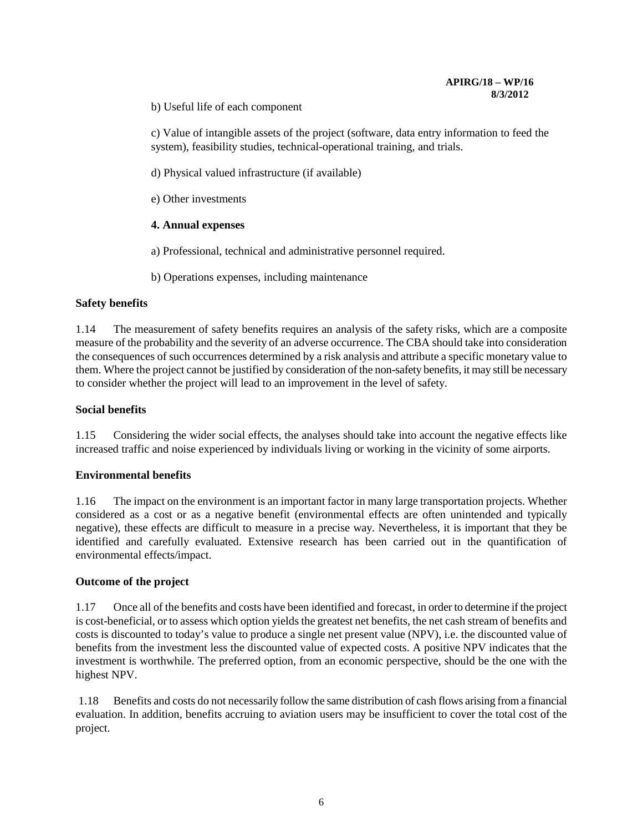b) Useful life of each component

c) Value of intangible assets of the project (software, data entry information to feed the system), feasibility studies, technical-operational training, and trials.

d) Physical valued infrastructure (if available)

e) Other investments

#### **4. Annual expenses**

a) Professional, technical and administrative personnel required.

b) Operations expenses, including maintenance

#### **Safety benefits**

1.14 The measurement of safety benefits requires an analysis of the safety risks, which are a composite measure of the probability and the severity of an adverse occurrence. The CBA should take into consideration the consequences of such occurrences determined by a risk analysis and attribute a specific monetary value to them. Where the project cannot be justified by consideration of the non-safety benefits, it may still be necessary to consider whether the project will lead to an improvement in the level of safety.

#### **Social benefits**

1.15 Considering the wider social effects, the analyses should take into account the negative effects like increased traffic and noise experienced by individuals living or working in the vicinity of some airports.

### **Environmental benefits**

1.16 The impact on the environment is an important factor in many large transportation projects. Whether considered as a cost or as a negative benefit (environmental effects are often unintended and typically negative), these effects are difficult to measure in a precise way. Nevertheless, it is important that they be identified and carefully evaluated. Extensive research has been carried out in the quantification of environmental effects/impact.

#### **Outcome of the project**

1.17 Once all of the benefits and costs have been identified and forecast, in order to determine if the project is cost-beneficial, or to assess which option yields the greatest net benefits, the net cash stream of benefits and costs is discounted to today's value to produce a single net present value (NPV), i.e. the discounted value of benefits from the investment less the discounted value of expected costs. A positive NPV indicates that the investment is worthwhile. The preferred option, from an economic perspective, should be the one with the highest NPV.

1.18 Benefits and costs do not necessarily follow the same distribution of cash flows arising from a financial evaluation. In addition, benefits accruing to aviation users may be insufficient to cover the total cost of the project.